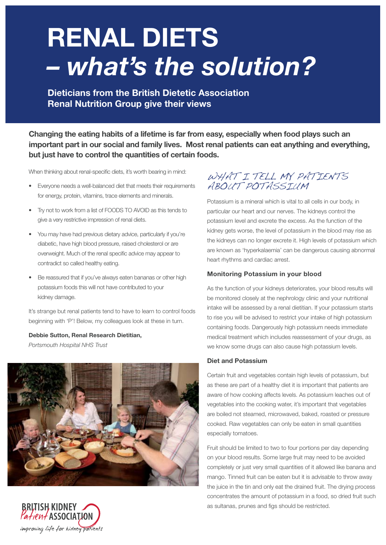# **Renal diets** *– what's the solution?*

**Dieticians from the British Dietetic Association Renal Nutrition Group give their views**

**Changing the eating habits of a lifetime is far from easy, especially when food plays such an important part in our social and family lives. Most renal patients can eat anything and everything, but just have to control the quantities of certain foods.**

When thinking about renal-specific diets, it's worth bearing in mind:

- Everyone needs a well-balanced diet that meets their requirements for energy, protein, vitamins, trace elements and minerals.
- Try not to work from a list of FOODS TO AVOID as this tends to give a very restrictive impression of renal diets.
- You may have had previous dietary advice, particularly if you're diabetic, have high blood pressure, raised cholesterol or are overweight. Much of the renal specific advice may appear to contradict so called healthy eating.
- Be reassured that if you've always eaten bananas or other high potassium foods this will not have contributed to your kidney damage.

It's strange but renal patients tend to have to learn to control foods beginning with 'P'! Below, my colleagues look at these in turn.

**Debbie Sutton, Renal Research Dietitian,**  *Portsmouth Hospital NHS Trust*



WHAT I TELL MY PATIENTS ABOUT POTASSIUM

Potassium is a mineral which is vital to all cells in our body, in particular our heart and our nerves. The kidneys control the potassium level and excrete the excess. As the function of the kidney gets worse, the level of potassium in the blood may rise as the kidneys can no longer excrete it. High levels of potassium which are known as 'hyperkalaemia' can be dangerous causing abnormal heart rhythms and cardiac arrest.

# **Monitoring Potassium in your blood**

As the function of your kidneys deteriorates, your blood results will be monitored closely at the nephrology clinic and your nutritional intake will be assessed by a renal dietitian. If your potassium starts to rise you will be advised to restrict your intake of high potassium containing foods. Dangerously high potassium needs immediate medical treatment which includes reassessment of your drugs, as we know some drugs can also cause high potassium levels.

# **Diet and Potassium**

Certain fruit and vegetables contain high levels of potassium, but as these are part of a healthy diet it is important that patients are aware of how cooking affects levels. As potassium leaches out of vegetables into the cooking water, it's important that vegetables are boiled not steamed, microwaved, baked, roasted or pressure cooked. Raw vegetables can only be eaten in small quantities especially tomatoes.

Fruit should be limited to two to four portions per day depending on your blood results. Some large fruit may need to be avoided completely or just very small quantities of it allowed like banana and mango. Tinned fruit can be eaten but it is advisable to throw away the juice in the tin and only eat the drained fruit. The drying process concentrates the amount of potassium in a food, so dried fruit such as sultanas, prunes and figs should be restricted.

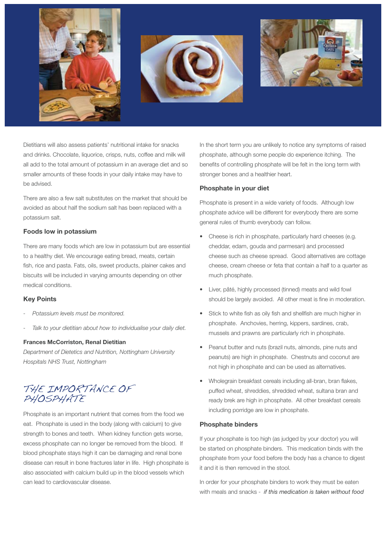





Dietitians will also assess patients' nutritional intake for snacks and drinks. Chocolate, liquorice, crisps, nuts, coffee and milk will all add to the total amount of potassium in an average diet and so smaller amounts of these foods in your daily intake may have to be advised.

There are also a few salt substitutes on the market that should be avoided as about half the sodium salt has been replaced with a potassium salt.

# **Foods low in potassium**

There are many foods which are low in potassium but are essential to a healthy diet. We encourage eating bread, meats, certain fish, rice and pasta. Fats, oils, sweet products, plainer cakes and biscuits will be included in varying amounts depending on other medical conditions.

# **Key Points**

- *- Potassium levels must be monitored.*
- *- Talk to your dietitian about how to individualise your daily diet.*

# **Frances McCorriston, Renal Dietitian**

*Department of Dietetics and Nutrition, Nottingham University Hospitals NHS Trust, Nottingham*

# THE IMPORTANCE OF PHOSPHATE

Phosphate is an important nutrient that comes from the food we eat. Phosphate is used in the body (along with calcium) to give strength to bones and teeth. When kidney function gets worse, excess phosphate can no longer be removed from the blood. If blood phosphate stays high it can be damaging and renal bone disease can result in bone fractures later in life. High phosphate is also associated with calcium build up in the blood vessels which can lead to cardiovascular disease.

In the short term you are unlikely to notice any symptoms of raised phosphate, although some people do experience itching. The benefits of controlling phosphate will be felt in the long term with stronger bones and a healthier heart.

# **Phosphate in your diet**

Phosphate is present in a wide variety of foods. Although low phosphate advice will be different for everybody there are some general rules of thumb everybody can follow.

- Cheese is rich in phosphate, particularly hard cheeses (e.g. cheddar, edam, gouda and parmesan) and processed cheese such as cheese spread. Good alternatives are cottage cheese, cream cheese or feta that contain a half to a quarter as much phosphate.
- Liver, pâté, highly processed (tinned) meats and wild fowl should be largely avoided. All other meat is fine in moderation.
- Stick to white fish as oily fish and shellfish are much higher in phosphate. Anchovies, herring, kippers, sardines, crab, mussels and prawns are particularly rich in phosphate.
- Peanut butter and nuts (brazil nuts, almonds, pine nuts and peanuts) are high in phosphate. Chestnuts and coconut are not high in phosphate and can be used as alternatives.
- Wholegrain breakfast cereals including all-bran, bran flakes, puffed wheat, shreddies, shredded wheat, sultana bran and ready brek are high in phosphate. All other breakfast cereals including porridge are low in phosphate.

# **Phosphate binders**

If your phosphate is too high (as judged by your doctor) you will be started on phosphate binders. This medication binds with the phosphate from your food before the body has a chance to digest it and it is then removed in the stool.

In order for your phosphate binders to work they must be eaten with meals and snacks - *if this medication is taken without food*